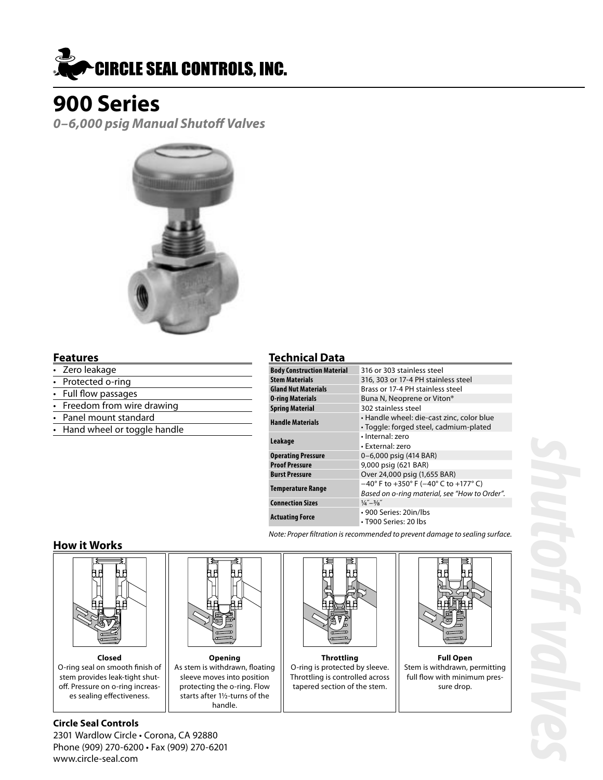

**0–6,000 psig Manual Shutoff Valves**



### **Features**

- Zero leakage
- Protected o-ring
- Full flow passages
- Freedom from wire drawing
- Panel mount standard
- Hand wheel or toggle handle

### **Technical Data**

| <b>Body Construction Material</b> | 316 or 303 stainless steel                                                 |  |
|-----------------------------------|----------------------------------------------------------------------------|--|
| Stem Materials                    | 316, 303 or 17-4 PH stainless steel                                        |  |
| <b>Gland Nut Materials</b>        | Brass or 17-4 PH stainless steel                                           |  |
| 0-ring Materials                  | Buna N, Neoprene or Viton®                                                 |  |
| <b>Spring Material</b>            | 302 stainless steel                                                        |  |
| <b>Handle Materials</b>           | · Handle wheel: die-cast zinc, color blue                                  |  |
|                                   | · Toggle: forged steel, cadmium-plated                                     |  |
| Leakage                           | · Internal: zero                                                           |  |
|                                   | • External: zero                                                           |  |
| Operating Pressure                | 0-6,000 psig (414 BAR)                                                     |  |
| <b>Proof Pressure</b>             | 9,000 psig (621 BAR)                                                       |  |
| <b>Burst Pressure</b>             | Over 24,000 psig (1,655 BAR)                                               |  |
| Temperature Range                 | $-40^{\circ}$ F to $+350^{\circ}$ F ( $-40^{\circ}$ C to $+177^{\circ}$ C) |  |
|                                   | Based on o-ring material, see "How to Order".                              |  |
| <b>Connection Sizes</b>           | $\frac{1}{4}$ – $\frac{3}{8}$                                              |  |
| Actuating Force                   | • 900 Series: 20in/lbs                                                     |  |
|                                   | • T900 Series: 20 lbs                                                      |  |
|                                   |                                                                            |  |

Note: Proper filtration is recommended to prevent damage to sealing surface.

### **How it Works**



**Closed** O-ring seal on smooth finish of stem provides leak-tight shut off. Pressure on o-ring increas es sealing effectiveness.



**Opening** As stem is withdrawn, floating sleeve moves into position protecting the o-ring. Flow starts after 1½-turns of the handle.



**Throttling** O-ring is protected by sleeve. Throttling is controlled across tapered section of the stem.



**Full Open** Stem is withdrawn, permitting full flow with minimum pres sure drop.

**Circle Seal Controls** 2301 Wardlow Circle • Corona, CA 92880 Phone (909) 270-6200 • Fax (909) 270-6201 www.circle-seal.com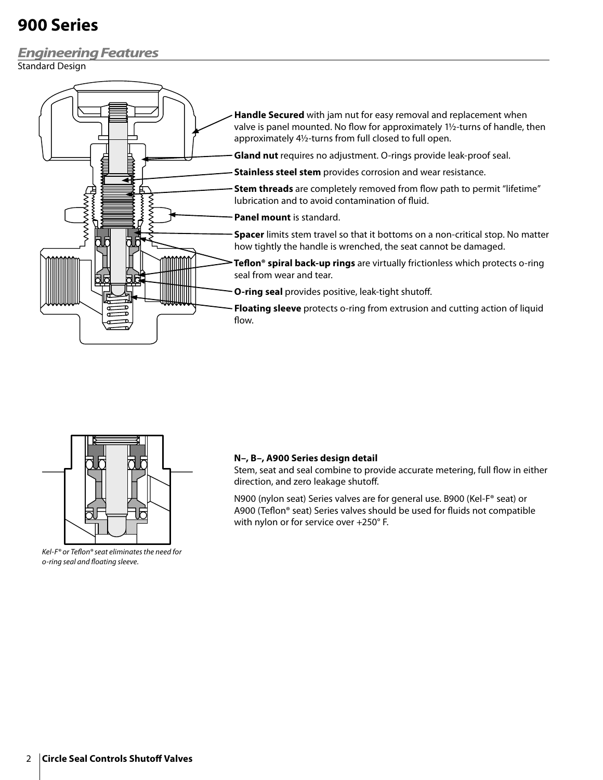### **Engineering Features**

Standard Design





Kel-F® or Teflon® seat eliminates the need for o-ring seal and floating sleeve.

### **N–, B–, A900 Series design detail**

Stem, seat and seal combine to provide accurate metering, full flow in either direction, and zero leakage shutoff.

N900 (nylon seat) Series valves are for general use. B900 (Kel-F® seat) or A900 (Teflon® seat) Series valves should be used for fluids not compatible with nylon or for service over +250° F.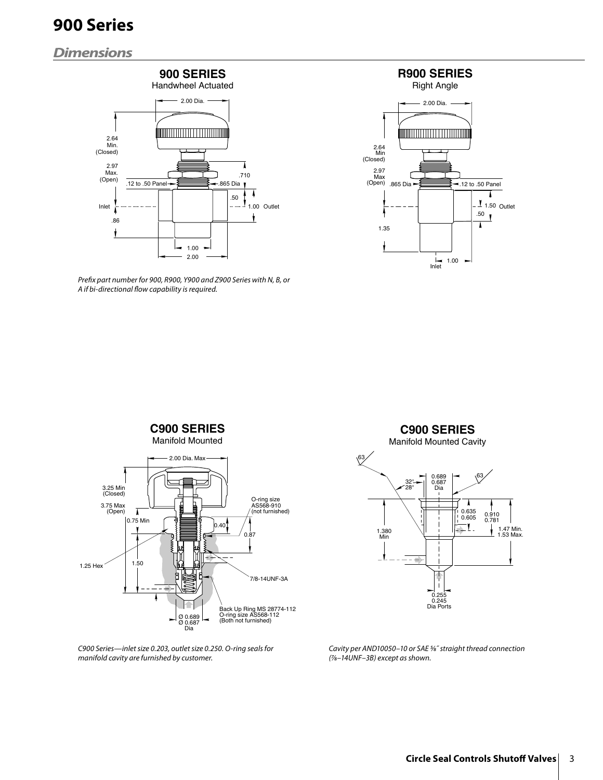## **Dimensions**



Prefix part number for 900, R900, Y900 and Z900 Series with N, B, or A if bi-directional flow capability is required.



**C900 SERIES** Manifold Mounted 2.00 Dia. Max 3.25 Min (Closed) O-ring size AS568-910 3.75 Max (Open)  $\overline{I}$ (not furnished) 0.75 Min 0.40 0.87 1.25 Hex  $1.50$ 7/8-14UNF-3A \<br>Back Up Ring MS 28774-112<br>O-ring size AS568-112<br>(Both not furnished) Ø 0.689<br>Ø 0.687 Dia

C900 Series—inlet size 0.203, outlet size 0.250. O-ring seals for manifold cavity are furnished by customer.



Cavity per AND10050–10 or SAE 5⁄8˝ straight thread connection (7⁄8–14UNF–3B) except as shown.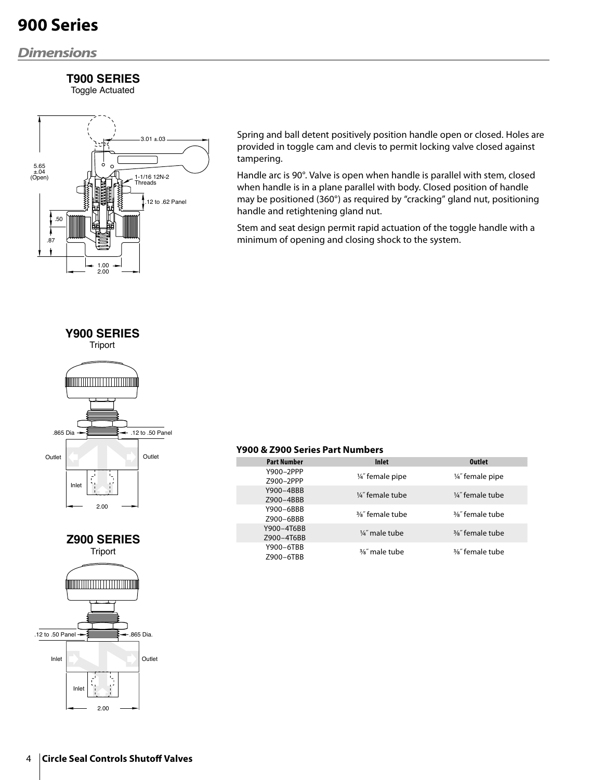## **Dimensions**

## **T900 SERIES**

Toggle Actuated



Spring and ball detent positively position handle open or closed. Holes are provided in toggle cam and clevis to permit locking valve closed against tampering.

Handle arc is 90°. Valve is open when handle is parallel with stem, closed when handle is in a plane parallel with body. Closed position of handle may be positioned (360°) as required by "cracking" gland nut, positioning handle and retightening gland nut.

Stem and seat design permit rapid actuation of the toggle handle with a minimum of opening and closing shock to the system.







#### **Y900 & Z900 Series Part Numbers**

Г

| <b>Part Number</b>       | <b>Inlet</b>                | <b>Outlet</b>               |
|--------------------------|-----------------------------|-----------------------------|
| Y900-2PPP<br>Z900-2PPP   | 1/4" female pipe            | 1/4" female pipe            |
| Y900-4BBB<br>Z900-4BBB   | 1/4" female tube            | 1/4" female tube            |
| Y900-6BBB<br>Z900-6BBB   | $\frac{3}{8}$ " female tube | $\frac{3}{8}$ " female tube |
| Y900-4T6BB<br>Z900-4T6BB | $\frac{1}{4}$ " male tube   | $\frac{3}{8}$ " female tube |
| Y900-6TBB<br>Z900-6TBB   | 3/ <sub>8</sub> " male tube | $\frac{3}{8}$ " female tube |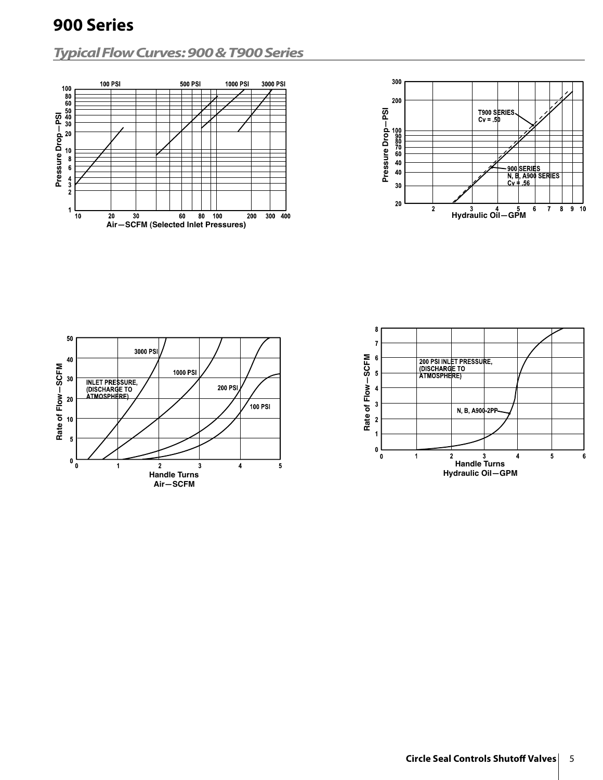## **Typical Flow Curves: 900 & T900 Series**